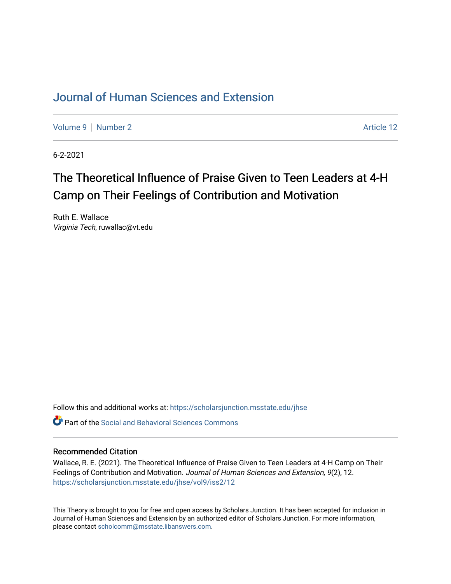## [Journal of Human Sciences and Extension](https://scholarsjunction.msstate.edu/jhse)

[Volume 9](https://scholarsjunction.msstate.edu/jhse/vol9) | [Number 2](https://scholarsjunction.msstate.edu/jhse/vol9/iss2) Article 12

6-2-2021

# The Theoretical Influence of Praise Given to Teen Leaders at 4-H Camp on Their Feelings of Contribution and Motivation

Ruth E. Wallace Virginia Tech, ruwallac@vt.edu

Follow this and additional works at: [https://scholarsjunction.msstate.edu/jhse](https://scholarsjunction.msstate.edu/jhse?utm_source=scholarsjunction.msstate.edu%2Fjhse%2Fvol9%2Fiss2%2F12&utm_medium=PDF&utm_campaign=PDFCoverPages)

 $\bullet$  Part of the Social and Behavioral Sciences Commons

#### Recommended Citation

Wallace, R. E. (2021). The Theoretical Influence of Praise Given to Teen Leaders at 4-H Camp on Their Feelings of Contribution and Motivation. Journal of Human Sciences and Extension, 9(2), 12. [https://scholarsjunction.msstate.edu/jhse/vol9/iss2/12](https://scholarsjunction.msstate.edu/jhse/vol9/iss2/12?utm_source=scholarsjunction.msstate.edu%2Fjhse%2Fvol9%2Fiss2%2F12&utm_medium=PDF&utm_campaign=PDFCoverPages) 

This Theory is brought to you for free and open access by Scholars Junction. It has been accepted for inclusion in Journal of Human Sciences and Extension by an authorized editor of Scholars Junction. For more information, please contact [scholcomm@msstate.libanswers.com.](mailto:scholcomm@msstate.libanswers.com)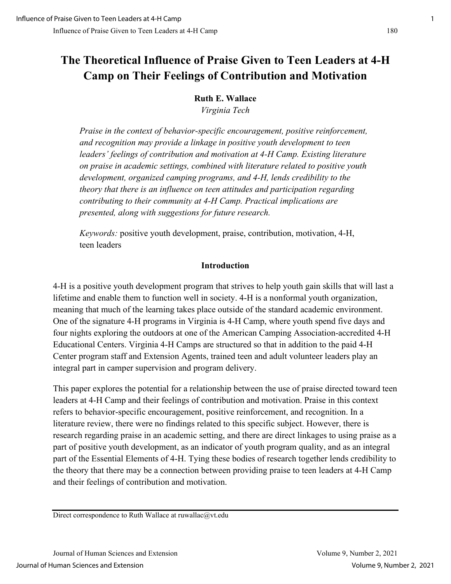## **The Theoretical Influence of Praise Given to Teen Leaders at 4-H Camp on Their Feelings of Contribution and Motivation**

#### **Ruth E. Wallace**

*Virginia Tech* 

*Praise in the context of behavior-specific encouragement, positive reinforcement, and recognition may provide a linkage in positive youth development to teen leaders' feelings of contribution and motivation at 4-H Camp. Existing literature on praise in academic settings, combined with literature related to positive youth development, organized camping programs, and 4-H, lends credibility to the theory that there is an influence on teen attitudes and participation regarding contributing to their community at 4-H Camp. Practical implications are presented, along with suggestions for future research.* 

*Keywords:* positive youth development, praise, contribution, motivation, 4-H, teen leaders

#### **Introduction**

4-H is a positive youth development program that strives to help youth gain skills that will last a lifetime and enable them to function well in society. 4-H is a nonformal youth organization, meaning that much of the learning takes place outside of the standard academic environment. One of the signature 4-H programs in Virginia is 4-H Camp, where youth spend five days and four nights exploring the outdoors at one of the American Camping Association-accredited 4-H Educational Centers. Virginia 4-H Camps are structured so that in addition to the paid 4-H Center program staff and Extension Agents, trained teen and adult volunteer leaders play an integral part in camper supervision and program delivery.

This paper explores the potential for a relationship between the use of praise directed toward teen leaders at 4-H Camp and their feelings of contribution and motivation. Praise in this context refers to behavior-specific encouragement, positive reinforcement, and recognition. In a literature review, there were no findings related to this specific subject. However, there is research regarding praise in an academic setting, and there are direct linkages to using praise as a part of positive youth development, as an indicator of youth program quality, and as an integral part of the Essential Elements of 4-H. Tying these bodies of research together lends credibility to the theory that there may be a connection between providing praise to teen leaders at 4-H Camp and their feelings of contribution and motivation.

Direct correspondence to Ruth Wallace at ruwallac@vt.edu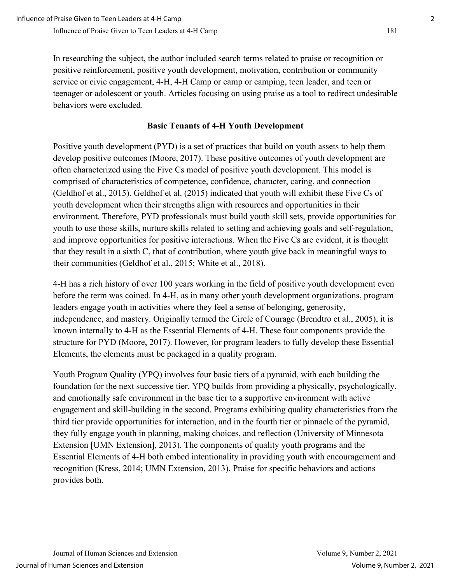In researching the subject, the author included search terms related to praise or recognition or positive reinforcement, positive youth development, motivation, contribution or community service or civic engagement, 4-H, 4-H Camp or camp or camping, teen leader, and teen or teenager or adolescent or youth. Articles focusing on using praise as a tool to redirect undesirable behaviors were excluded.

## **Basic Tenants of 4-H Youth Development**

Positive youth development (PYD) is a set of practices that build on youth assets to help them develop positive outcomes (Moore, 2017). These positive outcomes of youth development are often characterized using the Five Cs model of positive youth development. This model is comprised of characteristics of competence, confidence, character, caring, and connection (Geldhof et al., 2015). Geldhof et al. (2015) indicated that youth will exhibit these Five Cs of youth development when their strengths align with resources and opportunities in their environment. Therefore, PYD professionals must build youth skill sets, provide opportunities for youth to use those skills, nurture skills related to setting and achieving goals and self-regulation, and improve opportunities for positive interactions. When the Five Cs are evident, it is thought that they result in a sixth C, that of contribution, where youth give back in meaningful ways to their communities (Geldhof et al., 2015; White et al., 2018).

4-H has a rich history of over 100 years working in the field of positive youth development even before the term was coined. In 4-H, as in many other youth development organizations, program leaders engage youth in activities where they feel a sense of belonging, generosity, independence, and mastery. Originally termed the Circle of Courage (Brendtro et al., 2005), it is known internally to 4-H as the Essential Elements of 4-H. These four components provide the structure for PYD (Moore, 2017). However, for program leaders to fully develop these Essential Elements, the elements must be packaged in a quality program.

Youth Program Quality (YPQ) involves four basic tiers of a pyramid, with each building the foundation for the next successive tier. YPQ builds from providing a physically, psychologically, and emotionally safe environment in the base tier to a supportive environment with active engagement and skill-building in the second. Programs exhibiting quality characteristics from the third tier provide opportunities for interaction, and in the fourth tier or pinnacle of the pyramid, they fully engage youth in planning, making choices, and reflection (University of Minnesota Extension [UMN Extension], 2013). The components of quality youth programs and the Essential Elements of 4-H both embed intentionality in providing youth with encouragement and recognition (Kress, 2014; UMN Extension, 2013). Praise for specific behaviors and actions provides both.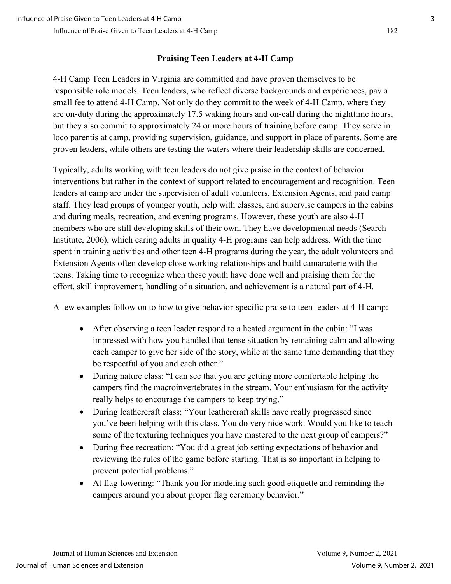## **Praising Teen Leaders at 4-H Camp**

4-H Camp Teen Leaders in Virginia are committed and have proven themselves to be responsible role models. Teen leaders, who reflect diverse backgrounds and experiences, pay a small fee to attend 4-H Camp. Not only do they commit to the week of 4-H Camp, where they are on-duty during the approximately 17.5 waking hours and on-call during the nighttime hours, but they also commit to approximately 24 or more hours of training before camp. They serve in loco parentis at camp, providing supervision, guidance, and support in place of parents. Some are proven leaders, while others are testing the waters where their leadership skills are concerned.

Typically, adults working with teen leaders do not give praise in the context of behavior interventions but rather in the context of support related to encouragement and recognition. Teen leaders at camp are under the supervision of adult volunteers, Extension Agents, and paid camp staff. They lead groups of younger youth, help with classes, and supervise campers in the cabins and during meals, recreation, and evening programs. However, these youth are also 4-H members who are still developing skills of their own. They have developmental needs (Search Institute, 2006), which caring adults in quality 4-H programs can help address. With the time spent in training activities and other teen 4-H programs during the year, the adult volunteers and Extension Agents often develop close working relationships and build camaraderie with the teens. Taking time to recognize when these youth have done well and praising them for the effort, skill improvement, handling of a situation, and achievement is a natural part of 4-H.

A few examples follow on to how to give behavior-specific praise to teen leaders at 4-H camp:

- After observing a teen leader respond to a heated argument in the cabin: "I was impressed with how you handled that tense situation by remaining calm and allowing each camper to give her side of the story, while at the same time demanding that they be respectful of you and each other."
- During nature class: "I can see that you are getting more comfortable helping the campers find the macroinvertebrates in the stream. Your enthusiasm for the activity really helps to encourage the campers to keep trying."
- During leathercraft class: "Your leathercraft skills have really progressed since you've been helping with this class. You do very nice work. Would you like to teach some of the texturing techniques you have mastered to the next group of campers?"
- During free recreation: "You did a great job setting expectations of behavior and reviewing the rules of the game before starting. That is so important in helping to prevent potential problems."
- At flag-lowering: "Thank you for modeling such good etiquette and reminding the campers around you about proper flag ceremony behavior."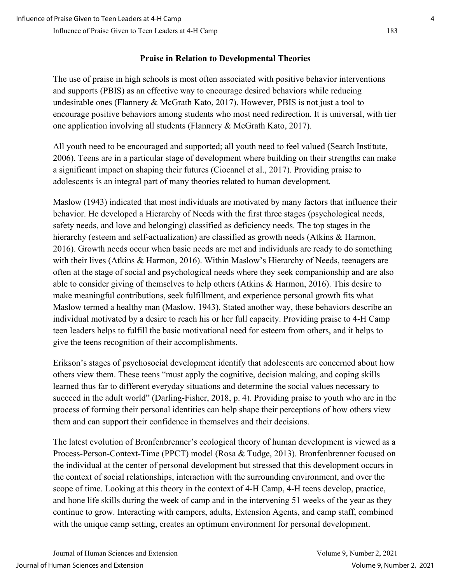#### **Praise in Relation to Developmental Theories**

The use of praise in high schools is most often associated with positive behavior interventions and supports (PBIS) as an effective way to encourage desired behaviors while reducing undesirable ones (Flannery & McGrath Kato, 2017). However, PBIS is not just a tool to encourage positive behaviors among students who most need redirection. It is universal, with tier one application involving all students (Flannery & McGrath Kato, 2017).

All youth need to be encouraged and supported; all youth need to feel valued (Search Institute, 2006). Teens are in a particular stage of development where building on their strengths can make a significant impact on shaping their futures (Ciocanel et al., 2017). Providing praise to adolescents is an integral part of many theories related to human development.

Maslow (1943) indicated that most individuals are motivated by many factors that influence their behavior. He developed a Hierarchy of Needs with the first three stages (psychological needs, safety needs, and love and belonging) classified as deficiency needs. The top stages in the hierarchy (esteem and self-actualization) are classified as growth needs (Atkins & Harmon, 2016). Growth needs occur when basic needs are met and individuals are ready to do something with their lives (Atkins & Harmon, 2016). Within Maslow's Hierarchy of Needs, teenagers are often at the stage of social and psychological needs where they seek companionship and are also able to consider giving of themselves to help others (Atkins & Harmon, 2016). This desire to make meaningful contributions, seek fulfillment, and experience personal growth fits what Maslow termed a healthy man (Maslow, 1943). Stated another way, these behaviors describe an individual motivated by a desire to reach his or her full capacity. Providing praise to 4-H Camp teen leaders helps to fulfill the basic motivational need for esteem from others, and it helps to give the teens recognition of their accomplishments.

Erikson's stages of psychosocial development identify that adolescents are concerned about how others view them. These teens "must apply the cognitive, decision making, and coping skills learned thus far to different everyday situations and determine the social values necessary to succeed in the adult world" (Darling-Fisher, 2018, p. 4). Providing praise to youth who are in the process of forming their personal identities can help shape their perceptions of how others view them and can support their confidence in themselves and their decisions.

The latest evolution of Bronfenbrenner's ecological theory of human development is viewed as a Process-Person-Context-Time (PPCT) model (Rosa & Tudge, 2013). Bronfenbrenner focused on the individual at the center of personal development but stressed that this development occurs in the context of social relationships, interaction with the surrounding environment, and over the scope of time. Looking at this theory in the context of 4-H Camp, 4-H teens develop, practice, and hone life skills during the week of camp and in the intervening 51 weeks of the year as they continue to grow. Interacting with campers, adults, Extension Agents, and camp staff, combined with the unique camp setting, creates an optimum environment for personal development.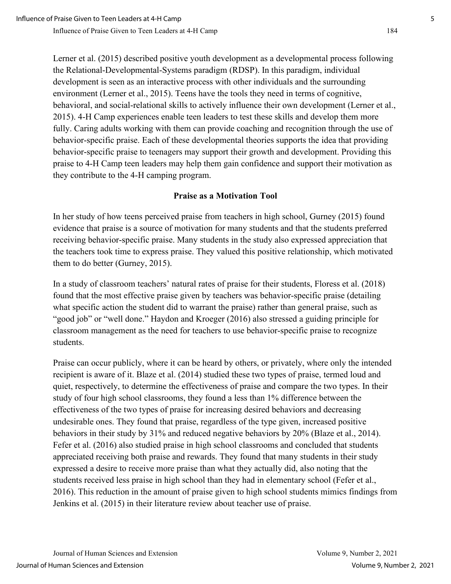Lerner et al. (2015) described positive youth development as a developmental process following the Relational-Developmental-Systems paradigm (RDSP). In this paradigm, individual development is seen as an interactive process with other individuals and the surrounding environment (Lerner et al., 2015). Teens have the tools they need in terms of cognitive, behavioral, and social-relational skills to actively influence their own development (Lerner et al., 2015). 4-H Camp experiences enable teen leaders to test these skills and develop them more fully. Caring adults working with them can provide coaching and recognition through the use of behavior-specific praise. Each of these developmental theories supports the idea that providing behavior-specific praise to teenagers may support their growth and development. Providing this praise to 4-H Camp teen leaders may help them gain confidence and support their motivation as they contribute to the 4-H camping program.

#### **Praise as a Motivation Tool**

In her study of how teens perceived praise from teachers in high school, Gurney (2015) found evidence that praise is a source of motivation for many students and that the students preferred receiving behavior-specific praise. Many students in the study also expressed appreciation that the teachers took time to express praise. They valued this positive relationship, which motivated them to do better (Gurney, 2015).

In a study of classroom teachers' natural rates of praise for their students, Floress et al. (2018) found that the most effective praise given by teachers was behavior-specific praise (detailing what specific action the student did to warrant the praise) rather than general praise, such as "good job" or "well done." Haydon and Kroeger (2016) also stressed a guiding principle for classroom management as the need for teachers to use behavior-specific praise to recognize students.

Praise can occur publicly, where it can be heard by others, or privately, where only the intended recipient is aware of it. Blaze et al. (2014) studied these two types of praise, termed loud and quiet, respectively, to determine the effectiveness of praise and compare the two types. In their study of four high school classrooms, they found a less than 1% difference between the effectiveness of the two types of praise for increasing desired behaviors and decreasing undesirable ones. They found that praise, regardless of the type given, increased positive behaviors in their study by 31% and reduced negative behaviors by 20% (Blaze et al., 2014). Fefer et al. (2016) also studied praise in high school classrooms and concluded that students appreciated receiving both praise and rewards. They found that many students in their study expressed a desire to receive more praise than what they actually did, also noting that the students received less praise in high school than they had in elementary school (Fefer et al., 2016). This reduction in the amount of praise given to high school students mimics findings from Jenkins et al. (2015) in their literature review about teacher use of praise.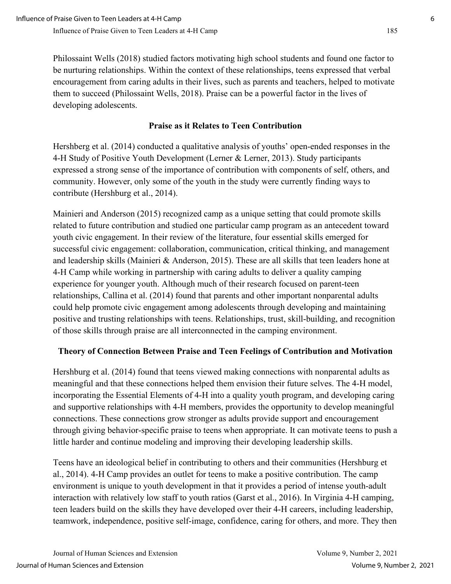Philossaint Wells (2018) studied factors motivating high school students and found one factor to be nurturing relationships. Within the context of these relationships, teens expressed that verbal encouragement from caring adults in their lives, such as parents and teachers, helped to motivate them to succeed (Philossaint Wells, 2018). Praise can be a powerful factor in the lives of developing adolescents.

### **Praise as it Relates to Teen Contribution**

Hershberg et al. (2014) conducted a qualitative analysis of youths' open-ended responses in the 4-H Study of Positive Youth Development (Lerner & Lerner, 2013). Study participants expressed a strong sense of the importance of contribution with components of self, others, and community. However, only some of the youth in the study were currently finding ways to contribute (Hershburg et al., 2014).

Mainieri and Anderson (2015) recognized camp as a unique setting that could promote skills related to future contribution and studied one particular camp program as an antecedent toward youth civic engagement. In their review of the literature, four essential skills emerged for successful civic engagement: collaboration, communication, critical thinking, and management and leadership skills (Mainieri & Anderson, 2015). These are all skills that teen leaders hone at 4-H Camp while working in partnership with caring adults to deliver a quality camping experience for younger youth. Although much of their research focused on parent-teen relationships, Callina et al. (2014) found that parents and other important nonparental adults could help promote civic engagement among adolescents through developing and maintaining positive and trusting relationships with teens. Relationships, trust, skill-building, and recognition of those skills through praise are all interconnected in the camping environment.

## **Theory of Connection Between Praise and Teen Feelings of Contribution and Motivation**

Hershburg et al. (2014) found that teens viewed making connections with nonparental adults as meaningful and that these connections helped them envision their future selves. The 4-H model, incorporating the Essential Elements of 4-H into a quality youth program, and developing caring and supportive relationships with 4-H members, provides the opportunity to develop meaningful connections. These connections grow stronger as adults provide support and encouragement through giving behavior-specific praise to teens when appropriate. It can motivate teens to push a little harder and continue modeling and improving their developing leadership skills.

Teens have an ideological belief in contributing to others and their communities (Hershburg et al., 2014). 4-H Camp provides an outlet for teens to make a positive contribution. The camp environment is unique to youth development in that it provides a period of intense youth-adult interaction with relatively low staff to youth ratios (Garst et al., 2016). In Virginia 4-H camping, teen leaders build on the skills they have developed over their 4-H careers, including leadership, teamwork, independence, positive self-image, confidence, caring for others, and more. They then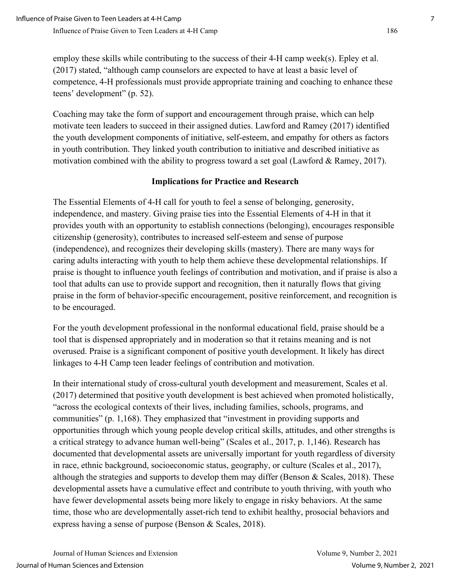employ these skills while contributing to the success of their 4-H camp week(s). Epley et al. (2017) stated, "although camp counselors are expected to have at least a basic level of competence, 4-H professionals must provide appropriate training and coaching to enhance these teens' development" (p. 52).

Coaching may take the form of support and encouragement through praise, which can help motivate teen leaders to succeed in their assigned duties. Lawford and Ramey (2017) identified the youth development components of initiative, self-esteem, and empathy for others as factors in youth contribution. They linked youth contribution to initiative and described initiative as motivation combined with the ability to progress toward a set goal (Lawford & Ramey, 2017).

#### **Implications for Practice and Research**

The Essential Elements of 4-H call for youth to feel a sense of belonging, generosity, independence, and mastery. Giving praise ties into the Essential Elements of 4-H in that it provides youth with an opportunity to establish connections (belonging), encourages responsible citizenship (generosity), contributes to increased self-esteem and sense of purpose (independence), and recognizes their developing skills (mastery). There are many ways for caring adults interacting with youth to help them achieve these developmental relationships. If praise is thought to influence youth feelings of contribution and motivation, and if praise is also a tool that adults can use to provide support and recognition, then it naturally flows that giving praise in the form of behavior-specific encouragement, positive reinforcement, and recognition is to be encouraged.

For the youth development professional in the nonformal educational field, praise should be a tool that is dispensed appropriately and in moderation so that it retains meaning and is not overused. Praise is a significant component of positive youth development. It likely has direct linkages to 4-H Camp teen leader feelings of contribution and motivation.

In their international study of cross-cultural youth development and measurement, Scales et al. (2017) determined that positive youth development is best achieved when promoted holistically, "across the ecological contexts of their lives, including families, schools, programs, and communities" (p. 1,168). They emphasized that "investment in providing supports and opportunities through which young people develop critical skills, attitudes, and other strengths is a critical strategy to advance human well-being" (Scales et al., 2017, p. 1,146). Research has documented that developmental assets are universally important for youth regardless of diversity in race, ethnic background, socioeconomic status, geography, or culture (Scales et al., 2017), although the strategies and supports to develop them may differ (Benson & Scales, 2018). These developmental assets have a cumulative effect and contribute to youth thriving, with youth who have fewer developmental assets being more likely to engage in risky behaviors. At the same time, those who are developmentally asset-rich tend to exhibit healthy, prosocial behaviors and express having a sense of purpose (Benson & Scales, 2018).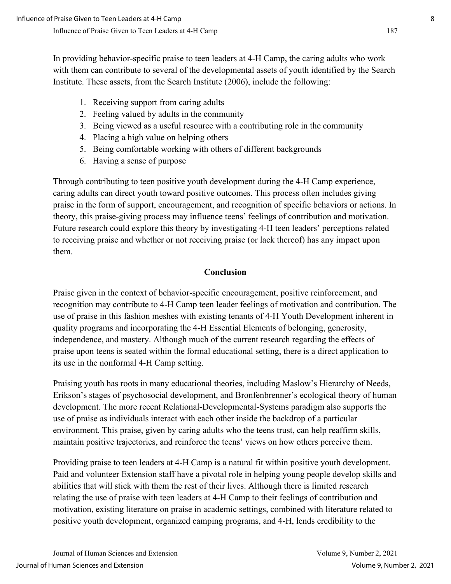In providing behavior-specific praise to teen leaders at 4-H Camp, the caring adults who work with them can contribute to several of the developmental assets of youth identified by the Search Institute. These assets, from the Search Institute (2006), include the following:

- 1. Receiving support from caring adults
- 2. Feeling valued by adults in the community
- 3. Being viewed as a useful resource with a contributing role in the community
- 4. Placing a high value on helping others
- 5. Being comfortable working with others of different backgrounds
- 6. Having a sense of purpose

Through contributing to teen positive youth development during the 4-H Camp experience, caring adults can direct youth toward positive outcomes. This process often includes giving praise in the form of support, encouragement, and recognition of specific behaviors or actions. In theory, this praise-giving process may influence teens' feelings of contribution and motivation. Future research could explore this theory by investigating 4-H teen leaders' perceptions related to receiving praise and whether or not receiving praise (or lack thereof) has any impact upon them.

#### **Conclusion**

Praise given in the context of behavior-specific encouragement, positive reinforcement, and recognition may contribute to 4-H Camp teen leader feelings of motivation and contribution. The use of praise in this fashion meshes with existing tenants of 4-H Youth Development inherent in quality programs and incorporating the 4-H Essential Elements of belonging, generosity, independence, and mastery. Although much of the current research regarding the effects of praise upon teens is seated within the formal educational setting, there is a direct application to its use in the nonformal 4-H Camp setting.

Praising youth has roots in many educational theories, including Maslow's Hierarchy of Needs, Erikson's stages of psychosocial development, and Bronfenbrenner's ecological theory of human development. The more recent Relational-Developmental-Systems paradigm also supports the use of praise as individuals interact with each other inside the backdrop of a particular environment. This praise, given by caring adults who the teens trust, can help reaffirm skills, maintain positive trajectories, and reinforce the teens' views on how others perceive them.

Providing praise to teen leaders at 4-H Camp is a natural fit within positive youth development. Paid and volunteer Extension staff have a pivotal role in helping young people develop skills and abilities that will stick with them the rest of their lives. Although there is limited research relating the use of praise with teen leaders at 4-H Camp to their feelings of contribution and motivation, existing literature on praise in academic settings, combined with literature related to positive youth development, organized camping programs, and 4-H, lends credibility to the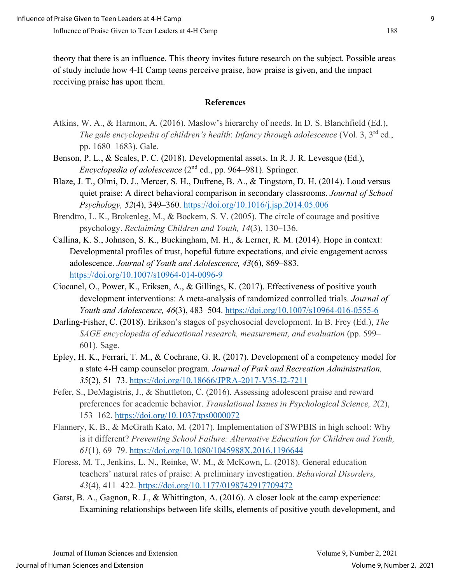theory that there is an influence. This theory invites future research on the subject. Possible areas of study include how 4-H Camp teens perceive praise, how praise is given, and the impact receiving praise has upon them.

#### **References**

- Atkins, W. A., & Harmon, A. (2016). Maslow's hierarchy of needs. In D. S. Blanchfield (Ed.), *The gale encyclopedia of children's health*: *Infancy through adolescence* (Vol. 3, 3rd ed., pp. 1680–1683). Gale.
- Benson, P. L., & Scales, P. C. (2018). Developmental assets. In R. J. R. Levesque (Ed.), *Encyclopedia of adolescence* (2<sup>nd</sup> ed., pp. 964–981). Springer.
- Blaze, J. T., Olmi, D. J., Mercer, S. H., Dufrene, B. A., & Tingstom, D. H. (2014). Loud versus quiet praise: A direct behavioral comparison in secondary classrooms. *Journal of School Psychology, 52*(4), 349–360.<https://doi.org/10.1016/j.jsp.2014.05.006>
- Brendtro, L. K., Brokenleg, M., & Bockern, S. V. (2005). The circle of courage and positive psychology. *Reclaiming Children and Youth, 14*(3), 130–136.
- Callina, K. S., Johnson, S. K., Buckingham, M. H., & Lerner, R. M. (2014). Hope in context: Developmental profiles of trust, hopeful future expectations, and civic engagement across adolescence. *Journal of Youth and Adolescence, 43*(6), 869–883. <https://doi.org/10.1007/s10964-014-0096-9>
- Ciocanel, O., Power, K., Eriksen, A., & Gillings, K. (2017). Effectiveness of positive youth development interventions: A meta-analysis of randomized controlled trials. *Journal of Youth and Adolescence, 46*(3), 483–504.<https://doi.org/10.1007/s10964-016-0555-6>
- Darling-Fisher, C. (2018). Erikson's stages of psychosocial development. In B. Frey (Ed.), *The SAGE encyclopedia of educational research, measurement, and evaluation* (pp. 599– 601). Sage.
- Epley, H. K., Ferrari, T. M., & Cochrane, G. R. (2017). Development of a competency model for a state 4-H camp counselor program. *Journal of Park and Recreation Administration, 35*(2), 51–73.<https://doi.org/10.18666/JPRA-2017-V35-I2-7211>
- Fefer, S., DeMagistris, J., & Shuttleton, C. (2016). Assessing adolescent praise and reward preferences for academic behavior. *Translational Issues in Psychological Science, 2*(2), 153–162.<https://doi.org/10.1037/tps0000072>
- Flannery, K. B., & McGrath Kato, M. (2017). Implementation of SWPBIS in high school: Why is it different? *Preventing School Failure: Alternative Education for Children and Youth, 61*(1), 69–79.<https://doi.org/10.1080/1045988X.2016.1196644>
- Floress, M. T., Jenkins, L. N., Reinke, W. M., & McKown, L. (2018). General education teachers' natural rates of praise: A preliminary investigation. *Behavioral Disorders, 43*(4), 411–422.<https://doi.org/10.1177/0198742917709472>
- Garst, B. A., Gagnon, R. J., & Whittington, A. (2016). A closer look at the camp experience: Examining relationships between life skills, elements of positive youth development, and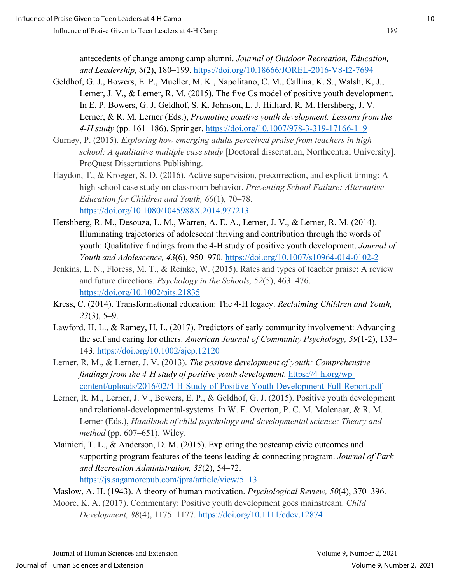antecedents of change among camp alumni. *Journal of Outdoor Recreation, Education, and Leadership, 8*(2), 180–199.<https://doi.org/10.18666/JOREL-2016-V8-I2-7694>

- Geldhof, G. J., Bowers, E. P., Mueller, M. K., Napolitano, C. M., Callina, K. S., Walsh, K, J., Lerner, J. V., & Lerner, R. M. (2015). The five Cs model of positive youth development. In E. P. Bowers, G. J. Geldhof, S. K. Johnson, L. J. Hilliard, R. M. Hershberg, J. V. Lerner, & R. M. Lerner (Eds.), *Promoting positive youth development: Lessons from the 4-H study* (pp. 161–186). Springer. [https://doi.org/10.1007/978-3-319-17166-1\\_9](https://doi.org/10.1007/978-3-319-17166-1_9)
- Gurney, P. (2015). *Exploring how emerging adults perceived praise from teachers in high school: A qualitative multiple case study* [Doctoral dissertation, Northcentral University]*.*  ProQuest Dissertations Publishing.
- Haydon, T., & Kroeger, S. D. (2016). Active supervision, precorrection, and explicit timing: A high school case study on classroom behavior. *Preventing School Failure: Alternative Education for Children and Youth, 60*(1), 70–78. <https://doi.org/10.1080/1045988X.2014.977213>
- Hershberg, R. M., Desouza, L. M., Warren, A. E. A., Lerner, J. V., & Lerner, R. M. (2014). Illuminating trajectories of adolescent thriving and contribution through the words of youth: Qualitative findings from the 4-H study of positive youth development. *Journal of Youth and Adolescence, 43*(6), 950–970.<https://doi.org/10.1007/s10964-014-0102-2>
- Jenkins, L. N., Floress, M. T., & Reinke, W. (2015). Rates and types of teacher praise: A review and future directions. *Psychology in the Schools, 52*(5), 463–476. <https://doi.org/10.1002/pits.21835>
- Kress, C. (2014). Transformational education: The 4-H legacy. *Reclaiming Children and Youth, 23*(3), 5–9.
- Lawford, H. L., & Ramey, H. L. (2017). Predictors of early community involvement: Advancing the self and caring for others. *American Journal of Community Psychology, 59*(1-2), 133– 143.<https://doi.org/10.1002/ajcp.12120>
- Lerner, R. M., & Lerner, J. V. (2013). *The positive development of youth: Comprehensive findings from the 4-H study of positive youth development.* [https://4-h.org/wp](https://4-h.org/wp-content/uploads/2016/02/4-H-Study-of-Positive-Youth-Development-Full-Report.pdf)[content/uploads/2016/02/4-H-Study-of-Positive-Youth-Development-Full-Report.pdf](https://4-h.org/wp-content/uploads/2016/02/4-H-Study-of-Positive-Youth-Development-Full-Report.pdf)
- Lerner, R. M., Lerner, J. V., Bowers, E. P., & Geldhof, G. J. (2015). Positive youth development and relational-developmental-systems. In W. F. Overton, P. C. M. Molenaar, & R. M. Lerner (Eds.), *Handbook of child psychology and developmental science: Theory and method* (pp. 607–651). Wiley.
- Mainieri, T. L., & Anderson, D. M. (2015). Exploring the postcamp civic outcomes and supporting program features of the teens leading & connecting program. *Journal of Park and Recreation Administration, 33*(2), 54–72.

<https://js.sagamorepub.com/jpra/article/view/5113>

Maslow, A. H. (1943). A theory of human motivation. *Psychological Review, 50*(4), 370–396.

Moore, K. A. (2017). Commentary: Positive youth development goes mainstream. *Child Development, 88*(4), 1175–1177. [https://doi.org/10.1111/cdev.12874](https://doi.org/10.1111/cdev.1287)